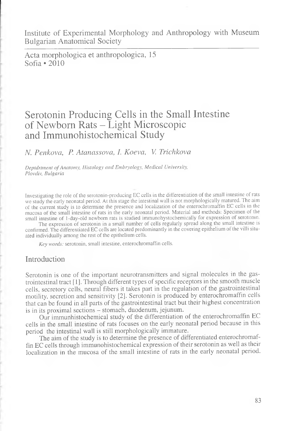Institute of Experimental Morphology and Anthropology with Museum Bulgarian Anatomical Society

Acta morphologica et anthropologica, 15 Sofia  $\cdot$  2010

# Serotonin Producing Cells in the Small Intestine of Newborn Rats - Light Microscopic and Immunohistochemical Study

*N. Penkova, P. Atanassova, I. Koeva, V. Trichkova*

*D e p td r tm e n t o f A n a to m y , H is to lo g y a n d E m b ry o lo g y , M e d ic a l U niversity, Plovdiv, Bulgaria* 

Investigating the role of the serotonin-producing EC cells in the differentiation of the small intestine of rats we study the early neonatal period. At this stage the intestinal wall is not morphologically matured. The aim of the current study is to determine the presence and localization of the enterochromaffin EC cells in the mucosa of the small intestine of rats in the early neonatal period. Material and methods: Specimen of the small intestine of 1-day-old newborn rats is studied immunohystochemically for expression of serotonin.

The expression of serotonin in a small number of cells regularly spread along the small intestine is confirmed. The differentiated EC cells are located predominantly in the covering epithelium of the villi situated individually among the rest of the epithelium cells.

*Key words:* serotonin, small intestine, enterochromaffin cells.

#### Introduction

Serotonin is one of the important neurotransmitters and signal molecules in the gastrointestinal tract [1]. Through different types of specific receptors in the smooth muscle cells, secretory cells, neural fibers it takes part in the regulation of the gastrointestinal motility, secretion and sensitivity [2]. Serotonin is produced by enterochromaffin cells that can be found in all parts of the gastrointestinal tract but their highest concentration is in its proximal sections - stomach, duodenum, jejunum.

Our immunhistochemical study of the differentiation of the enterochromaffin EC cells in the small intestine of rats focuses on the early neonatal period because in this period the intestinal wall is still morphologically immature.

The aim of the study is to determine the presence of differentiated enterochromaffin EC cells through immunohistochemical expression of their serotonin as well as their localization in the mucosa of the small intestine of rats in the early neonatal period.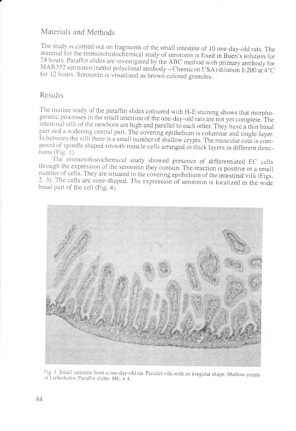## Materials and Methods

The study is carried out on fragments of the small intestine of 10 one-day-old rats. The material for the immunohistochemical study of serotonin is fixed in Buen's solution for 24 hours. Paraffin slides are investigated by the ABC method with primary antibody for MAB352 serotonin (rabbit polyclonal antibody - Chemicon USA) dilution 1:200 at 4°C for 12 hours. Serotonin is visualized as brown colored granules.

#### Results

r

1 he toutine study of the paraffin slides coloured with H-E staining shows that morphogenetic piocesses in the small intestine of the one-day-old rats are not yet complete. The intestinal villi of the newborn are high and parallel to each other. They have a thin basal pait and a widening central part. The covering epithelium is columnar and single-layer. In between the villi there is a small number of shallow crypts. The muscular coat is composed of spindle shaped smooth muscle cells arranged in thick layers in different directions (Fig. 1).

The immunohistochemical study showed presence of differentiated EC cells through the expiession of the serotonin they contain. The reaction is positive in a small number of cells. They are situated in the covering epithelium of the intestinal villi (Figs. 2, 3). The cells are cone-shaped. The expression of serotonin is localized in the wide basal part of the cell (Fig. 4).



Fig. 1. Small intestine from a one-day-old rat. Parallel villi with an irregular shape. Shallow crypts of Lieberkuhn. Paraffin slides. HE, x 4.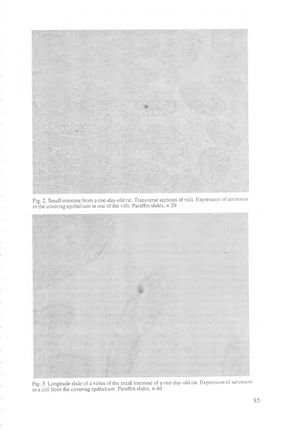

Fig. 2. Small intestine from a one-day-old rat. Transverse sections of villi. Expression of serotonin in the covering epithelium in one of the villi. Paraffin slides,  $\times 20$ 



Fig. 3. Longitude slide of a villus of the small intestine of a one-day-old rat. Expression of serotonin in a cell from the covering epithelium. Paraffin slides,  $\times$  40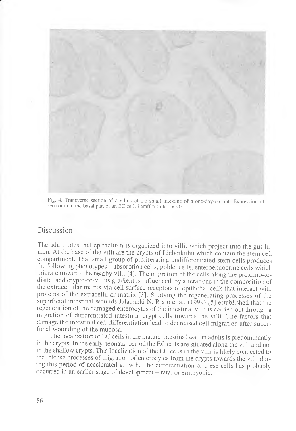

Fig. 4. Transverse section of a villus of the small intestine of a one-day-old rat. Expression of serotonin in the basal part of an EC cell. Paraffin slides,  $\times$  40

### Discussion

The adult intestinal epithelium is organized into villi, which project into the gut lumen. At the base of the villi are the crypts of Lieberkuhn which contain the stem cell compartment. That small group of proliferating undifferentiated stem cells produces the following phenotypes - absorption cells, goblet cells, enteroendocrine cells which migrate towards the nearby villi [4]. The migration of the cells along the proximo-todisttal and crypto-to-villus gradient is influenced by alterations in the composition of the extracellular matrix via cell surface receptors of epithelial cells that interact with proteins of the extracellular matrix [3]. Studying the regenerating processes of the superficial intestinal wounds Jaladanki N. R a o et al. (1999) [5] established that the regeneration of the damaged enterocytes of the intestinal villi is carried out through a migration of differentiated intestinal crypt cells towards the villi. The factors "that damage the intestinal cell differentiation lead to decreased cell migration after superficial wounding of the mucosa.

The localization of EC cells in the mature intestinal wall in adults is predominantly in the crypts. In the early neonatal period the EC cells are situated along the villi and not in the shallow crypts. This localization of the EC cells in the villi is likely connected to the intense processes of migration of enterocytes from the crypts towards the villi during this period of accelerated growth. The differentiation of these cells has probably occurred in an earlier stage of development - fatal or embryonic.